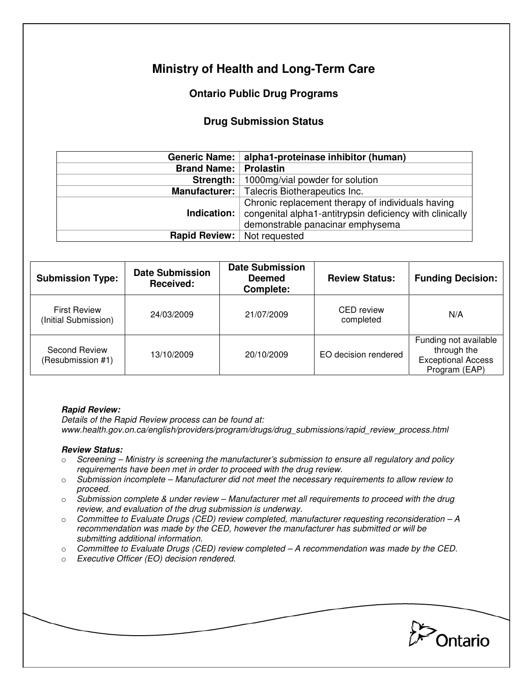# **Ministry of Health and Long-Term Care**

## **Ontario Public Drug Programs**

### **Drug Submission Status**

|                    | Generic Name:   alpha1-proteinase inhibitor (human)                                                                                               |  |  |
|--------------------|---------------------------------------------------------------------------------------------------------------------------------------------------|--|--|
| <b>Brand Name:</b> | <b>Prolastin</b>                                                                                                                                  |  |  |
| Strength:          | 1000mg/vial powder for solution                                                                                                                   |  |  |
| Manufacturer:      | Talecris Biotherapeutics Inc.                                                                                                                     |  |  |
| Indication: $ $    | Chronic replacement therapy of individuals having<br>congenital alpha1-antitrypsin deficiency with clinically<br>demonstrable panacinar emphysema |  |  |
|                    | <b>Rapid Review:</b> Not requested                                                                                                                |  |  |

| <b>Submission Type:</b>                     | <b>Date Submission</b><br>Received: | <b>Date Submission</b><br><b>Deemed</b><br>Complete: | <b>Review Status:</b>          | <b>Funding Decision:</b>                                                           |
|---------------------------------------------|-------------------------------------|------------------------------------------------------|--------------------------------|------------------------------------------------------------------------------------|
| <b>First Review</b><br>(Initial Submission) | 24/03/2009                          | 21/07/2009                                           | <b>CED</b> review<br>completed | N/A                                                                                |
| Second Review<br>(Resubmission #1)          | 13/10/2009                          | 20/10/2009                                           | EO decision rendered           | Funding not available<br>through the<br><b>Exceptional Access</b><br>Program (EAP) |

#### **Rapid Review:**

Details of the Rapid Review process can be found at: www.health.gov.on.ca/english/providers/program/drugs/drug\_submissions/rapid\_review\_process.html

#### **Review Status:**

- $\circ$  Screening Ministry is screening the manufacturer's submission to ensure all regulatory and policy requirements have been met in order to proceed with the drug review.
- $\circ$  Submission incomplete Manufacturer did not meet the necessary requirements to allow review to proceed.
- $\circ$  Submission complete & under review Manufacturer met all requirements to proceed with the drug review, and evaluation of the drug submission is underway.
- $\circ$  Committee to Evaluate Drugs (CED) review completed, manufacturer requesting reconsideration A recommendation was made by the CED, however the manufacturer has submitted or will be submitting additional information.
- $\circ$  Committee to Evaluate Drugs (CED) review completed  $-A$  recommendation was made by the CED.
- o Executive Officer (EO) decision rendered.